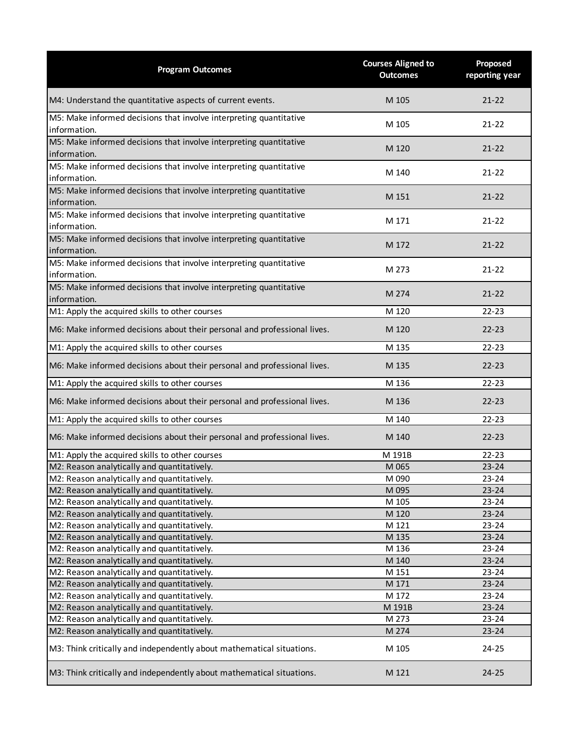| <b>Program Outcomes</b>                                                            | <b>Courses Aligned to</b><br><b>Outcomes</b> | Proposed<br>reporting year |
|------------------------------------------------------------------------------------|----------------------------------------------|----------------------------|
| M4: Understand the quantitative aspects of current events.                         | M 105                                        | $21 - 22$                  |
| M5: Make informed decisions that involve interpreting quantitative<br>information. | M 105                                        | $21 - 22$                  |
| M5: Make informed decisions that involve interpreting quantitative<br>information. | M 120                                        | $21 - 22$                  |
| M5: Make informed decisions that involve interpreting quantitative<br>information. | M 140                                        | $21 - 22$                  |
| M5: Make informed decisions that involve interpreting quantitative<br>information. | M 151                                        | $21 - 22$                  |
| M5: Make informed decisions that involve interpreting quantitative<br>information. | M 171                                        | $21 - 22$                  |
| M5: Make informed decisions that involve interpreting quantitative<br>information. | M 172                                        | $21 - 22$                  |
| M5: Make informed decisions that involve interpreting quantitative<br>information. | M 273                                        | $21 - 22$                  |
| M5: Make informed decisions that involve interpreting quantitative<br>information. | M 274                                        | $21 - 22$                  |
| M1: Apply the acquired skills to other courses                                     | M 120                                        | $22 - 23$                  |
| M6: Make informed decisions about their personal and professional lives.           | M 120                                        | $22 - 23$                  |
| M1: Apply the acquired skills to other courses                                     | M 135                                        | $22 - 23$                  |
| M6: Make informed decisions about their personal and professional lives.           | M 135                                        | $22 - 23$                  |
| M1: Apply the acquired skills to other courses                                     | M 136                                        | $22 - 23$                  |
| M6: Make informed decisions about their personal and professional lives.           | M 136                                        | $22 - 23$                  |
| M1: Apply the acquired skills to other courses                                     | M 140                                        | $22 - 23$                  |
| M6: Make informed decisions about their personal and professional lives.           | M 140                                        | $22 - 23$                  |
| M1: Apply the acquired skills to other courses                                     | M 191B                                       | $22 - 23$                  |
| M2: Reason analytically and quantitatively.                                        | M 065                                        | $23 - 24$                  |
| M2: Reason analytically and quantitatively.                                        | M 090                                        | 23-24                      |
| M2: Reason analytically and quantitatively.                                        | M 095                                        | $23 - 24$                  |
| M2: Reason analytically and quantitatively.                                        | M 105                                        | $23 - 24$                  |
| M2: Reason analytically and quantitatively.                                        | M 120                                        | $23 - 24$                  |
| M2: Reason analytically and quantitatively.                                        | M 121                                        | $23 - 24$                  |
| M2: Reason analytically and quantitatively.                                        | M 135                                        | $23 - 24$                  |
| M2: Reason analytically and quantitatively.                                        | M 136                                        | $23 - 24$                  |
| M2: Reason analytically and quantitatively.                                        | M 140                                        | $23 - 24$                  |
| M2: Reason analytically and quantitatively.                                        | M 151                                        | $23 - 24$                  |
| M2: Reason analytically and quantitatively.                                        | M 171                                        | $23 - 24$                  |
| M2: Reason analytically and quantitatively.                                        | M 172                                        | $23 - 24$                  |
| M2: Reason analytically and quantitatively.                                        | M 191B                                       | $23 - 24$                  |
| M2: Reason analytically and quantitatively.                                        | M 273                                        | $23 - 24$                  |
| M2: Reason analytically and quantitatively.                                        | M 274                                        | $23 - 24$                  |
| M3: Think critically and independently about mathematical situations.              | M 105                                        | 24-25                      |
| M3: Think critically and independently about mathematical situations.              | M 121                                        | $24 - 25$                  |